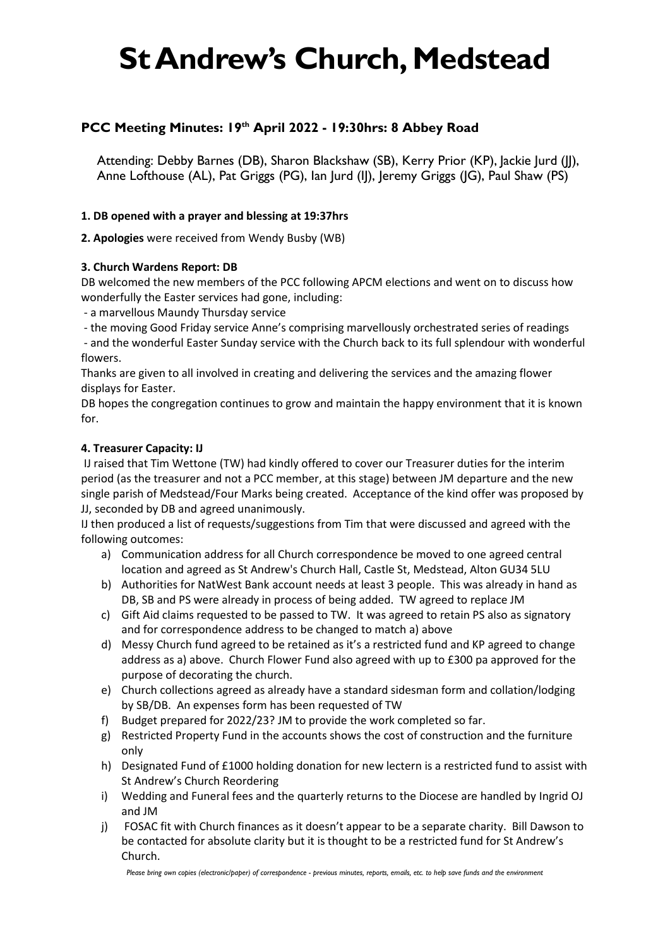# **St Andrew's Church, Medstead**

## **PCC Meeting Minutes: 19th April 2022 - 19:30hrs: 8 Abbey Road**

Attending: Debby Barnes (DB), Sharon Blackshaw (SB), Kerry Prior (KP), Jackie Jurd (JJ), Anne Lofthouse (AL), Pat Griggs (PG), Ian Jurd (IJ), Jeremy Griggs (JG), Paul Shaw (PS)

#### **1. DB opened with a prayer and blessing at 19:37hrs**

**2. Apologies** were received from Wendy Busby (WB)

#### **3. Church Wardens Report: DB**

DB welcomed the new members of the PCC following APCM elections and went on to discuss how wonderfully the Easter services had gone, including:

- a marvellous Maundy Thursday service

- the moving Good Friday service Anne's comprising marvellously orchestrated series of readings

- and the wonderful Easter Sunday service with the Church back to its full splendour with wonderful flowers.

Thanks are given to all involved in creating and delivering the services and the amazing flower displays for Easter.

DB hopes the congregation continues to grow and maintain the happy environment that it is known for.

#### **4. Treasurer Capacity: IJ**

IJ raised that Tim Wettone (TW) had kindly offered to cover our Treasurer duties for the interim period (as the treasurer and not a PCC member, at this stage) between JM departure and the new single parish of Medstead/Four Marks being created. Acceptance of the kind offer was proposed by JJ, seconded by DB and agreed unanimously.

IJ then produced a list of requests/suggestions from Tim that were discussed and agreed with the following outcomes:

- a) Communication address for all Church correspondence be moved to one agreed central location and agreed as St Andrew's Church Hall, Castle St, Medstead, Alton GU34 5LU
- b) Authorities for NatWest Bank account needs at least 3 people. This was already in hand as DB, SB and PS were already in process of being added. TW agreed to replace JM
- c) Gift Aid claims requested to be passed to TW. It was agreed to retain PS also as signatory and for correspondence address to be changed to match a) above
- d) Messy Church fund agreed to be retained as it's a restricted fund and KP agreed to change address as a) above. Church Flower Fund also agreed with up to £300 pa approved for the purpose of decorating the church.
- e) Church collections agreed as already have a standard sidesman form and collation/lodging by SB/DB. An expenses form has been requested of TW
- f) Budget prepared for 2022/23? JM to provide the work completed so far.
- g) Restricted Property Fund in the accounts shows the cost of construction and the furniture only
- h) Designated Fund of £1000 holding donation for new lectern is a restricted fund to assist with St Andrew's Church Reordering
- i) Wedding and Funeral fees and the quarterly returns to the Diocese are handled by Ingrid OJ and JM
- j) FOSAC fit with Church finances as it doesn't appear to be a separate charity. Bill Dawson to be contacted for absolute clarity but it is thought to be a restricted fund for St Andrew's Church.

*Please bring own copies (electronic/paper) of correspondence - previous minutes, reports, emails, etc. to help save funds and the environment*